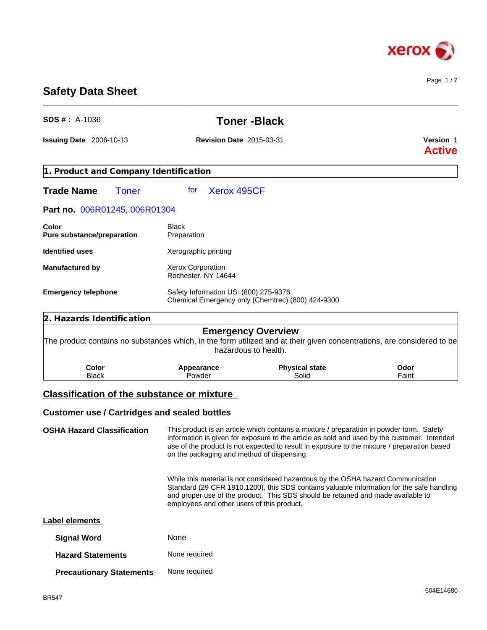

Page 1 / 7

# **Safety Data Sheet**

| <b>SDS #</b> : $A-1036$                             | <b>Toner-Black</b>                         |                                                                                                                                                                                                                                                                                        |               |  |
|-----------------------------------------------------|--------------------------------------------|----------------------------------------------------------------------------------------------------------------------------------------------------------------------------------------------------------------------------------------------------------------------------------------|---------------|--|
| <b>Issuing Date 2006-10-13</b>                      | <b>Revision Date 2015-03-31</b>            | Version 1<br><b>Active</b>                                                                                                                                                                                                                                                             |               |  |
| 1. Product and Company Identification               |                                            |                                                                                                                                                                                                                                                                                        |               |  |
| <b>Trade Name</b><br><b>Toner</b>                   | Xerox 495CF<br>for                         |                                                                                                                                                                                                                                                                                        |               |  |
| Part no. 006R01245, 006R01304                       |                                            |                                                                                                                                                                                                                                                                                        |               |  |
| Color<br>Pure substance/preparation                 | <b>Black</b><br>Preparation                |                                                                                                                                                                                                                                                                                        |               |  |
| <b>Identified uses</b>                              | Xerographic printing                       |                                                                                                                                                                                                                                                                                        |               |  |
| <b>Manufactured by</b>                              | Xerox Corporation<br>Rochester, NY 14644   |                                                                                                                                                                                                                                                                                        |               |  |
| <b>Emergency telephone</b>                          | Safety Information US: (800) 275-9376      | Chemical Emergency only (Chemtrec) (800) 424-9300                                                                                                                                                                                                                                      |               |  |
| 2. Hazards Identification                           |                                            |                                                                                                                                                                                                                                                                                        |               |  |
|                                                     |                                            | <b>Emergency Overview</b><br>The product contains no substances which, in the form utilized and at their given concentrations, are considered to be<br>hazardous to health.                                                                                                            |               |  |
| Color<br><b>Black</b>                               | Appearance<br>Powder                       | <b>Physical state</b><br>Solid                                                                                                                                                                                                                                                         | Odor<br>Faint |  |
| <b>Classification of the substance or mixture</b>   |                                            |                                                                                                                                                                                                                                                                                        |               |  |
| <b>Customer use / Cartridges and sealed bottles</b> |                                            |                                                                                                                                                                                                                                                                                        |               |  |
| <b>OSHA Hazard Classification</b>                   | on the packaging and method of dispensing. | This product is an article which contains a mixture / preparation in powder form. Safety<br>information is given for exposure to the article as sold and used by the customer. Intended<br>use of the product is not expected to result in exposure to the mixture / preparation based |               |  |

\_\_\_\_\_\_\_\_\_\_\_\_\_\_\_\_\_\_\_\_\_\_\_\_\_\_\_\_\_\_\_\_\_\_\_\_\_\_\_\_\_\_\_\_\_\_\_\_\_\_\_\_\_\_\_\_\_\_\_\_\_\_\_\_\_\_\_\_\_\_\_\_\_\_\_\_\_\_\_\_\_\_\_\_\_\_\_\_\_\_\_\_\_\_

While this material is not considered hazardous by the OSHA hazard Communication Standard (29 CFR 1910.1200), this SDS contains valuable information for the safe handling and proper use of the product. This SDS should be retained and made available to employees and other users of this product.

| Label elements                  |               |  |  |
|---------------------------------|---------------|--|--|
| <b>Signal Word</b>              | None          |  |  |
| <b>Hazard Statements</b>        | None required |  |  |
| <b>Precautionary Statements</b> | None required |  |  |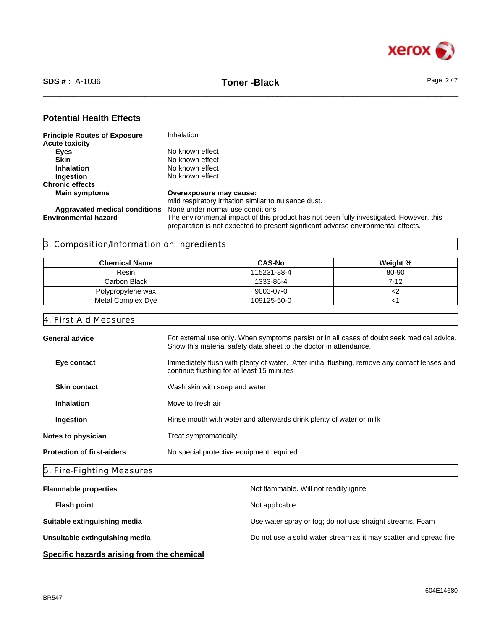

## **Potential Health Effects**

| <b>Principle Routes of Exposure</b>  | Inhalation                                                                                                                                                                   |
|--------------------------------------|------------------------------------------------------------------------------------------------------------------------------------------------------------------------------|
| <b>Acute toxicity</b>                |                                                                                                                                                                              |
| Eyes                                 | No known effect                                                                                                                                                              |
| <b>Skin</b>                          | No known effect                                                                                                                                                              |
| <b>Inhalation</b>                    | No known effect                                                                                                                                                              |
| <b>Ingestion</b>                     | No known effect                                                                                                                                                              |
| <b>Chronic effects</b>               |                                                                                                                                                                              |
| <b>Main symptoms</b>                 | Overexposure may cause:                                                                                                                                                      |
|                                      | mild respiratory irritation similar to nuisance dust.                                                                                                                        |
| <b>Aggravated medical conditions</b> | None under normal use conditions                                                                                                                                             |
| <b>Environmental hazard</b>          | The environmental impact of this product has not been fully investigated. However, this<br>preparation is not expected to present significant adverse environmental effects. |
|                                      |                                                                                                                                                                              |

# 3. Composition/Information on Ingredients

| <b>Chemical Name</b> | <b>CAS-No</b> | Weight % |
|----------------------|---------------|----------|
| Resin                | 115231-88-4   | 80-90    |
| Carbon Black         | 1333-86-4     | 7-12     |
| Polypropylene wax    | 9003-07-0     |          |
| Metal Complex Dye    | 109125-50-0   |          |

## 4. First Aid Measures

| <b>General advice</b>             | For external use only. When symptoms persist or in all cases of doubt seek medical advice.<br>Show this material safety data sheet to the doctor in attendance. |
|-----------------------------------|-----------------------------------------------------------------------------------------------------------------------------------------------------------------|
| Eye contact                       | Immediately flush with plenty of water. After initial flushing, remove any contact lenses and<br>continue flushing for at least 15 minutes                      |
| <b>Skin contact</b>               | Wash skin with soap and water                                                                                                                                   |
| <b>Inhalation</b>                 | Move to fresh air                                                                                                                                               |
| Ingestion                         | Rinse mouth with water and afterwards drink plenty of water or milk                                                                                             |
| Notes to physician                | Treat symptomatically                                                                                                                                           |
| <b>Protection of first-aiders</b> | No special protective equipment required                                                                                                                        |
|                                   |                                                                                                                                                                 |

# 5. Fire-Fighting Measures

| <b>Flammable properties</b>    | Not flammable. Will not readily ignite                            |
|--------------------------------|-------------------------------------------------------------------|
| <b>Flash point</b>             | Not applicable                                                    |
| Suitable extinguishing media   | Use water spray or fog; do not use straight streams, Foam         |
| Unsuitable extinguishing media | Do not use a solid water stream as it may scatter and spread fire |
|                                |                                                                   |

**Specific hazards arising from the chemical**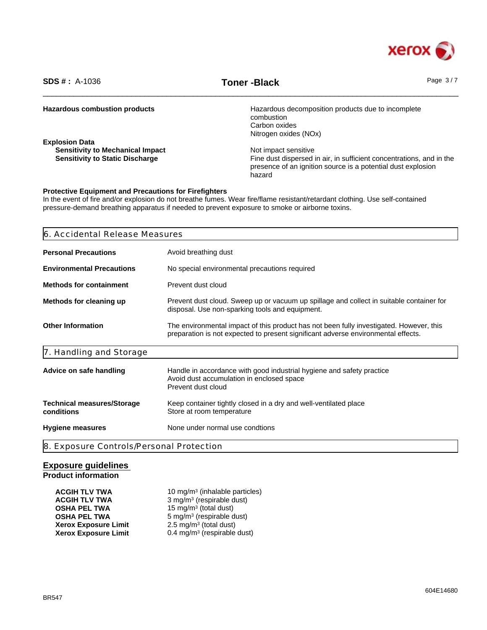

\_\_\_\_\_\_\_\_\_\_\_\_\_\_\_\_\_\_\_\_\_\_\_\_\_\_\_\_\_\_\_\_\_\_\_\_\_\_\_\_\_\_\_\_\_\_\_\_\_\_\_\_\_\_\_\_\_\_\_\_\_\_\_\_\_\_\_\_\_\_\_\_\_\_\_\_\_\_\_\_\_\_\_\_\_\_\_\_\_\_\_\_\_\_ **SDS # :** A-1036 **Toner -Black** Page 3 / 7

| <b>Hazardous combustion products</b>    | Hazardous decomposition products due to incomplete                                                                                   |
|-----------------------------------------|--------------------------------------------------------------------------------------------------------------------------------------|
|                                         | combustion                                                                                                                           |
|                                         | Carbon oxides                                                                                                                        |
|                                         | Nitrogen oxides (NOx)                                                                                                                |
| <b>Explosion Data</b>                   |                                                                                                                                      |
| <b>Sensitivity to Mechanical Impact</b> | Not impact sensitive                                                                                                                 |
| <b>Sensitivity to Static Discharge</b>  | Fine dust dispersed in air, in sufficient concentrations, and in the<br>presence of an ignition source is a potential dust explosion |
|                                         | hazard                                                                                                                               |
|                                         |                                                                                                                                      |

#### **Protective Equipment and Precautions for Firefighters**

In the event of fire and/or explosion do not breathe fumes. Wear fire/flame resistant/retardant clothing. Use self-contained pressure-demand breathing apparatus if needed to prevent exposure to smoke or airborne toxins.

| 6. Accidental Release Measures                  |                                                                                                                                                                              |  |  |
|-------------------------------------------------|------------------------------------------------------------------------------------------------------------------------------------------------------------------------------|--|--|
| <b>Personal Precautions</b>                     | Avoid breathing dust                                                                                                                                                         |  |  |
| <b>Environmental Precautions</b>                | No special environmental precautions required                                                                                                                                |  |  |
| <b>Methods for containment</b>                  | Prevent dust cloud                                                                                                                                                           |  |  |
| Methods for cleaning up                         | Prevent dust cloud. Sweep up or vacuum up spillage and collect in suitable container for<br>disposal. Use non-sparking tools and equipment.                                  |  |  |
| <b>Other Information</b>                        | The environmental impact of this product has not been fully investigated. However, this<br>preparation is not expected to present significant adverse environmental effects. |  |  |
| 7. Handling and Storage                         |                                                                                                                                                                              |  |  |
| Advice on safe handling                         | Handle in accordance with good industrial hygiene and safety practice<br>Avoid dust accumulation in enclosed space<br>Prevent dust cloud                                     |  |  |
| <b>Technical measures/Storage</b><br>conditions | Keep container tightly closed in a dry and well-ventilated place<br>Store at room temperature                                                                                |  |  |
| <b>Hygiene measures</b>                         | None under normal use condtions                                                                                                                                              |  |  |
| 8. Exposure Controls/Personal Protection        |                                                                                                                                                                              |  |  |

## **Exposure guidelines Product information**

| <b>ACGIH TLV TWA</b>        | 10 mg/m <sup>3</sup> (inhalable particles) |
|-----------------------------|--------------------------------------------|
| <b>ACGIH TLV TWA</b>        | 3 mg/m <sup>3</sup> (respirable dust)      |
| <b>OSHA PEL TWA</b>         | 15 mg/m <sup>3</sup> (total dust)          |
| <b>OSHA PEL TWA</b>         | 5 mg/m <sup>3</sup> (respirable dust)      |
| <b>Xerox Exposure Limit</b> | $2.5 \text{ mg/m}^3$ (total dust)          |
| <b>Xerox Exposure Limit</b> | $0.4 \text{ mg/m}^3$ (respirable dust)     |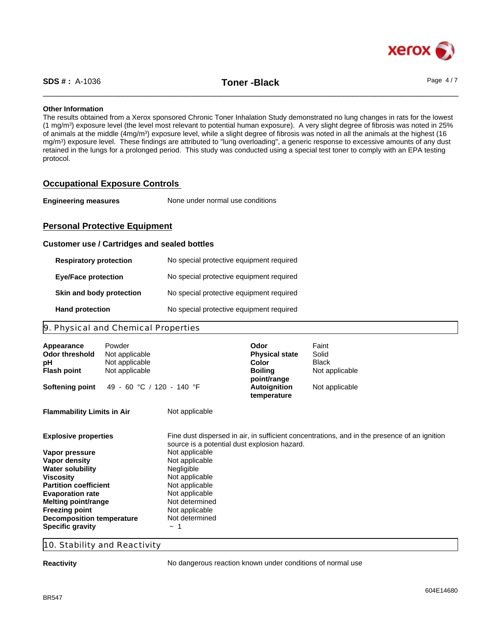

\_\_\_\_\_\_\_\_\_\_\_\_\_\_\_\_\_\_\_\_\_\_\_\_\_\_\_\_\_\_\_\_\_\_\_\_\_\_\_\_\_\_\_\_\_\_\_\_\_\_\_\_\_\_\_\_\_\_\_\_\_\_\_\_\_\_\_\_\_\_\_\_\_\_\_\_\_\_\_\_\_\_\_\_\_\_\_\_\_\_\_\_\_\_ **SDS # :** A-1036 **Toner -Black** Page 4 / 7

## **Other Information**

The results obtained from a Xerox sponsored Chronic Toner Inhalation Study demonstrated no lung changes in rats for the lowest (1 mg/m<sup>3</sup> ) exposure level (the level most relevant to potential human exposure). A very slight degree of fibrosis was noted in 25% of animals at the middle (4mg/m<sup>3</sup>) exposure level, while a slight degree of fibrosis was noted in all the animals at the highest (16 mg/m<sup>3</sup> ) exposure level. These findings are attributed to "lung overloading", a generic response to excessive amounts of any dust retained in the lungs for a prolonged period. This study was conducted using a special test toner to comply with an EPA testing protocol.

## **Occupational Exposure Controls**

| <b>Engineering measures</b> | None under normal use conditions |  |
|-----------------------------|----------------------------------|--|
|-----------------------------|----------------------------------|--|

## **Personal Protective Equipment**

### **Customer use / Cartridges and sealed bottles**

| <b>Respiratory protection</b> | No special protective equipment required |
|-------------------------------|------------------------------------------|
| <b>Eye/Face protection</b>    | No special protective equipment required |
| Skin and body protection      | No special protective equipment required |
| <b>Hand protection</b>        | No special protective equipment required |

## 9. Physical and Chemical Properties

| Appearance<br><b>Odor threshold</b><br>рH<br><b>Flash point</b> | Powder<br>Not applicable<br>Not applicable<br>Not applicable |                                              | Odor<br><b>Physical state</b><br>Color<br><b>Boiling</b> | Faint<br>Solid<br>Black<br>Not applicable                                                    |
|-----------------------------------------------------------------|--------------------------------------------------------------|----------------------------------------------|----------------------------------------------------------|----------------------------------------------------------------------------------------------|
| <b>Softening point</b>                                          | 49 - 60 °C / 120 - 140 °F                                    |                                              | point/range<br><b>Autoignition</b><br>temperature        | Not applicable                                                                               |
| <b>Flammability Limits in Air</b>                               |                                                              | Not applicable                               |                                                          |                                                                                              |
| <b>Explosive properties</b>                                     |                                                              | source is a potential dust explosion hazard. |                                                          | Fine dust dispersed in air, in sufficient concentrations, and in the presence of an ignition |
| Vapor pressure                                                  |                                                              | Not applicable                               |                                                          |                                                                                              |
| Vapor density                                                   |                                                              | Not applicable                               |                                                          |                                                                                              |
| <b>Water solubility</b>                                         |                                                              | Negligible                                   |                                                          |                                                                                              |
| <b>Viscosity</b>                                                |                                                              | Not applicable                               |                                                          |                                                                                              |
| <b>Partition coefficient</b>                                    |                                                              | Not applicable                               |                                                          |                                                                                              |
| <b>Evaporation rate</b>                                         |                                                              | Not applicable                               |                                                          |                                                                                              |
| Melting point/range                                             |                                                              | Not determined                               |                                                          |                                                                                              |
| <b>Freezing point</b>                                           |                                                              | Not applicable                               |                                                          |                                                                                              |
| <b>Decomposition temperature</b>                                |                                                              | Not determined                               |                                                          |                                                                                              |
| <b>Specific gravity</b>                                         |                                                              | $\sim$                                       |                                                          |                                                                                              |

## 10. Stability and Reactivity

**Reactivity Reactivity No dangerous reaction known under conditions of normal use**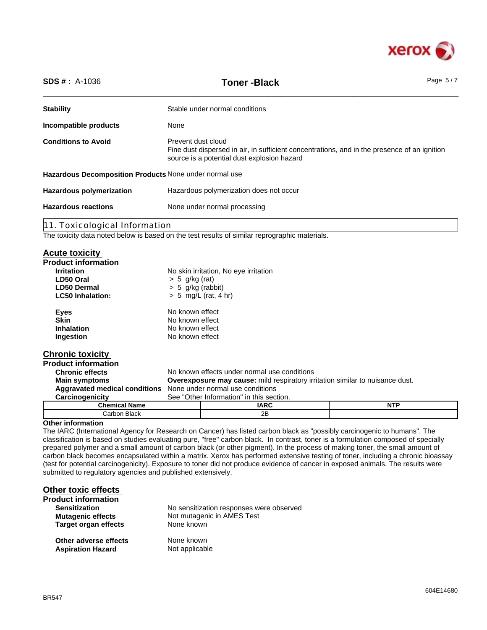

| <b>SDS #: A-1036</b>                                                       | <b>Toner-Black</b>                                                                                                                                                | Page $5/7$ |
|----------------------------------------------------------------------------|-------------------------------------------------------------------------------------------------------------------------------------------------------------------|------------|
| <b>Stability</b>                                                           | Stable under normal conditions                                                                                                                                    |            |
| Incompatible products                                                      | None                                                                                                                                                              |            |
| <b>Conditions to Avoid</b>                                                 | Prevent dust cloud<br>Fine dust dispersed in air, in sufficient concentrations, and in the presence of an ignition<br>source is a potential dust explosion hazard |            |
| Hazardous Decomposition Products None under normal use                     |                                                                                                                                                                   |            |
| Hazardous polymerization does not occur<br><b>Hazardous polymerization</b> |                                                                                                                                                                   |            |
| <b>Hazardous reactions</b>                                                 | None under normal processing                                                                                                                                      |            |
| 11. Toxicological Information                                              |                                                                                                                                                                   |            |

The toxicity data noted below is based on the test results of similar reprographic materials.

## **Acute toxicity**

| NUULU LUAIVILY                |                                                                                      |                                              |            |
|-------------------------------|--------------------------------------------------------------------------------------|----------------------------------------------|------------|
| <b>Product information</b>    |                                                                                      |                                              |            |
| <b>Irritation</b>             |                                                                                      | No skin irritation, No eye irritation        |            |
| LD50 Oral                     | $> 5$ g/kg (rat)                                                                     |                                              |            |
| LD50 Dermal                   | $> 5$ g/kg (rabbit)                                                                  |                                              |            |
| <b>LC50 Inhalation:</b>       |                                                                                      | $> 5$ mg/L (rat, 4 hr)                       |            |
| <b>Eyes</b>                   | No known effect                                                                      |                                              |            |
| <b>Skin</b>                   | No known effect                                                                      |                                              |            |
| <b>Inhalation</b>             | No known effect                                                                      |                                              |            |
| Ingestion                     | No known effect                                                                      |                                              |            |
| <b>Chronic toxicity</b>       |                                                                                      |                                              |            |
| <b>Product information</b>    |                                                                                      |                                              |            |
| <b>Chronic effects</b>        |                                                                                      | No known effects under normal use conditions |            |
| <b>Main symptoms</b>          | <b>Overexposure may cause:</b> mild respiratory irritation similar to nuisance dust. |                                              |            |
| Aggravated medical conditions | None under normal use conditions                                                     |                                              |            |
| Carcinogenicity               |                                                                                      | See "Other Information" in this section.     |            |
| <b>Chemical Name</b>          |                                                                                      | <b>IARC</b>                                  | <b>NTP</b> |
| Carbon Black                  |                                                                                      | 2B                                           |            |

## **Other information**

The IARC (International Agency for Research on Cancer) has listed carbon black as "possibly carcinogenic to humans". The classification is based on studies evaluating pure, "free" carbon black. In contrast, toner is a formulation composed of specially prepared polymer and a small amount of carbon black (or other pigment). In the process of making toner, the small amount of carbon black becomes encapsulated within a matrix. Xerox has performed extensive testing of toner, including a chronic bioassay (test for potential carcinogenicity). Exposure to toner did not produce evidence of cancer in exposed animals. The results were submitted to regulatory agencies and published extensively.

## **Other toxic effects**

| Product information         |                                          |
|-----------------------------|------------------------------------------|
| <b>Sensitization</b>        | No sensitization responses were observed |
| <b>Mutagenic effects</b>    | Not mutagenic in AMES Test               |
| <b>Target organ effects</b> | None known                               |
| Other adverse effects       | None known                               |
| <b>Aspiration Hazard</b>    | Not applicable                           |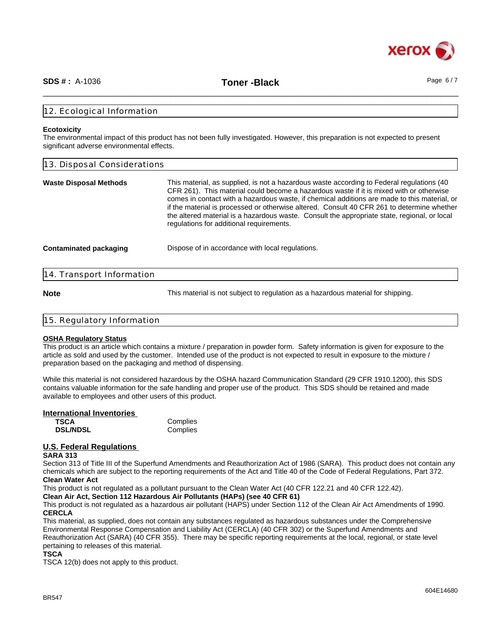

\_\_\_\_\_\_\_\_\_\_\_\_\_\_\_\_\_\_\_\_\_\_\_\_\_\_\_\_\_\_\_\_\_\_\_\_\_\_\_\_\_\_\_\_\_\_\_\_\_\_\_\_\_\_\_\_\_\_\_\_\_\_\_\_\_\_\_\_\_\_\_\_\_\_\_\_\_\_\_\_\_\_\_\_\_\_\_\_\_\_\_\_\_\_ **SDS # :** A-1036 **Toner -Black** Page 6 / 7

### 12. Ecological Information

#### **Ecotoxicity**

The environmental impact of this product has not been fully investigated. However, this preparation is not expected to present significant adverse environmental effects.

| 13. Disposal Considerations   |                                                                                                                                                                                                                                                                                                                                                                                                                                                                                                                                |
|-------------------------------|--------------------------------------------------------------------------------------------------------------------------------------------------------------------------------------------------------------------------------------------------------------------------------------------------------------------------------------------------------------------------------------------------------------------------------------------------------------------------------------------------------------------------------|
| Waste Disposal Methods        | This material, as supplied, is not a hazardous waste according to Federal regulations (40<br>CFR 261). This material could become a hazardous waste if it is mixed with or otherwise<br>comes in contact with a hazardous waste, if chemical additions are made to this material, or<br>if the material is processed or otherwise altered. Consult 40 CFR 261 to determine whether<br>the altered material is a hazardous waste. Consult the appropriate state, regional, or local<br>regulations for additional requirements. |
| <b>Contaminated packaging</b> | Dispose of in accordance with local regulations.                                                                                                                                                                                                                                                                                                                                                                                                                                                                               |
| 14. Transport Information     |                                                                                                                                                                                                                                                                                                                                                                                                                                                                                                                                |

**Note** This material is not subject to regulation as a hazardous material for shipping.

| 15. Regulatory Information |  |
|----------------------------|--|
|                            |  |

## **OSHA Regulatory Status**

This product is an article which contains a mixture / preparation in powder form. Safety information is given for exposure to the article as sold and used by the customer. Intended use of the product is not expected to result in exposure to the mixture / preparation based on the packaging and method of dispensing.

While this material is not considered hazardous by the OSHA hazard Communication Standard (29 CFR 1910.1200), this SDS contains valuable information for the safe handling and proper use of the product. This SDS should be retained and made available to employees and other users of this product.

#### **International Inventories**

| <b>TSCA</b>     | Complies |
|-----------------|----------|
| <b>DSL/NDSL</b> | Complies |

# **U.S. Federal Regulations**

## **SARA 313**

Section 313 of Title III of the Superfund Amendments and Reauthorization Act of 1986 (SARA). This product does not contain any chemicals which are subject to the reporting requirements of the Act and Title 40 of the Code of Federal Regulations, Part 372. **Clean Water Act**

This product is not regulated as a pollutant pursuant to the Clean Water Act (40 CFR 122.21 and 40 CFR 122.42).

**Clean Air Act, Section 112 Hazardous Air Pollutants (HAPs) (see 40 CFR 61)**

This product is not regulated as a hazardous air pollutant (HAPS) under Section 112 of the Clean Air Act Amendments of 1990. **CERCLA**

This material, as supplied, does not contain any substances regulated as hazardous substances under the Comprehensive Environmental Response Compensation and Liability Act (CERCLA) (40 CFR 302) or the Superfund Amendments and Reauthorization Act (SARA) (40 CFR 355). There may be specific reporting requirements at the local, regional, or state level pertaining to releases of this material.

### **TSCA**

TSCA 12(b) does not apply to this product.